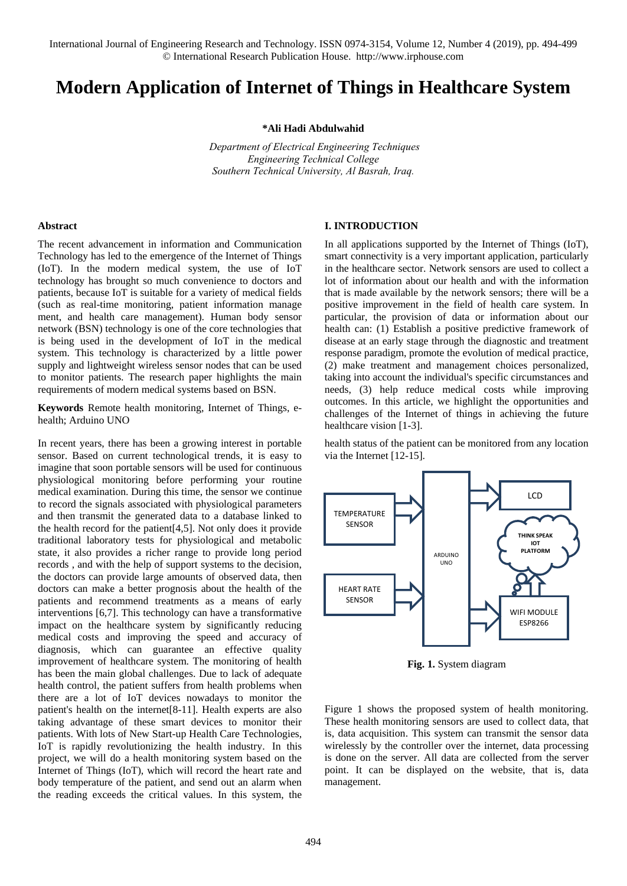# **Modern Application of Internet of Things in Healthcare System**

**\*Ali Hadi Abdulwahid** 

*Department of Electrical Engineering Techniques Engineering Technical College Southern Technical University, Al Basrah, Iraq.* 

## **Abstract**

The recent advancement in information and Communication Technology has led to the emergence of the Internet of Things (IoT). In the modern medical system, the use of IoT technology has brought so much convenience to doctors and patients, because IoT is suitable for a variety of medical fields (such as real-time monitoring, patient information manage ment, and health care management). Human body sensor network (BSN) technology is one of the core technologies that is being used in the development of IoT in the medical system. This technology is characterized by a little power supply and lightweight wireless sensor nodes that can be used to monitor patients. The research paper highlights the main requirements of modern medical systems based on BSN.

**Keywords** Remote health monitoring, Internet of Things, ehealth; Arduino UNO

In recent years, there has been a growing interest in portable sensor. Based on current technological trends, it is easy to imagine that soon portable sensors will be used for continuous physiological monitoring before performing your routine medical examination. During this time, the sensor we continue to record the signals associated with physiological parameters and then transmit the generated data to a database linked to the health record for the patient[4,5]. Not only does it provide traditional laboratory tests for physiological and metabolic state, it also provides a richer range to provide long period records , and with the help of support systems to the decision, the doctors can provide large amounts of observed data, then doctors can make a better prognosis about the health of the patients and recommend treatments as a means of early interventions [6,7]. This technology can have a transformative impact on the healthcare system by significantly reducing medical costs and improving the speed and accuracy of diagnosis, which can guarantee an effective quality improvement of healthcare system. The monitoring of health has been the main global challenges. Due to lack of adequate health control, the patient suffers from health problems when there are a lot of IoT devices nowadays to monitor the patient's health on the internet[8-11]. Health experts are also taking advantage of these smart devices to monitor their patients. With lots of New Start-up Health Care Technologies, IoT is rapidly revolutionizing the health industry. In this project, we will do a health monitoring system based on the Internet of Things (IoT), which will record the heart rate and body temperature of the patient, and send out an alarm when the reading exceeds the critical values. In this system, the

## **I. INTRODUCTION**

In all applications supported by the Internet of Things (IoT), smart connectivity is a very important application, particularly in the healthcare sector. Network sensors are used to collect a lot of information about our health and with the information that is made available by the network sensors; there will be a positive improvement in the field of health care system. In particular, the provision of data or information about our health can: (1) Establish a positive predictive framework of disease at an early stage through the diagnostic and treatment response paradigm, promote the evolution of medical practice, (2) make treatment and management choices personalized, taking into account the individual's specific circumstances and needs, (3) help reduce medical costs while improving outcomes. In this article, we highlight the opportunities and challenges of the Internet of things in achieving the future healthcare vision [1-3].

health status of the patient can be monitored from any location via the Internet [12-15].



**Fig. 1.** System diagram

Figure 1 shows the proposed system of health monitoring. These health monitoring sensors are used to collect data, that is, data acquisition. This system can transmit the sensor data wirelessly by the controller over the internet, data processing is done on the server. All data are collected from the server point. It can be displayed on the website, that is, data management.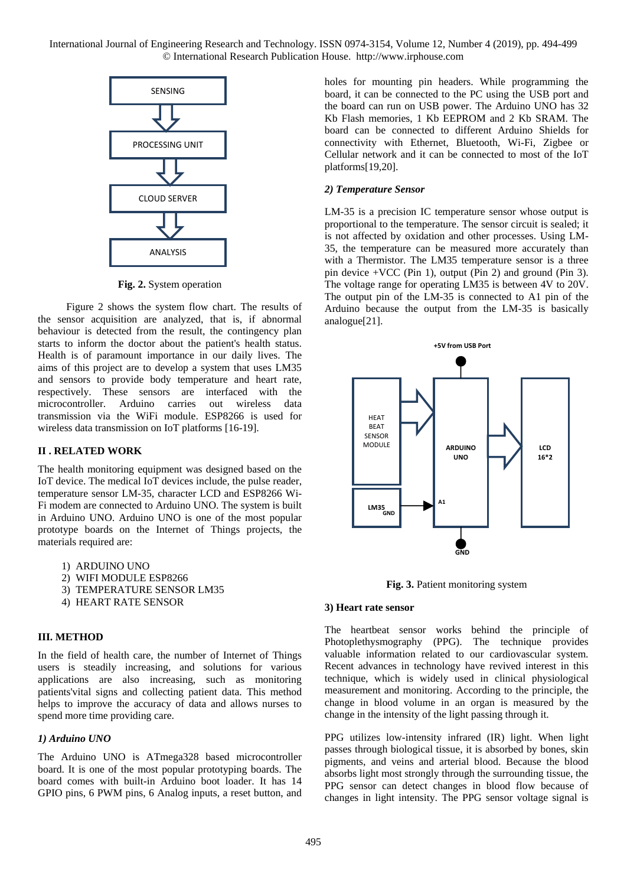

**Fig. 2.** System operation

Figure 2 shows the system flow chart. The results of the sensor acquisition are analyzed, that is, if abnormal behaviour is detected from the result, the contingency plan starts to inform the doctor about the patient's health status. Health is of paramount importance in our daily lives. The aims of this project are to develop a system that uses LM35 and sensors to provide body temperature and heart rate, respectively. These sensors are interfaced with the microcontroller. Arduino carries out wireless data transmission via the WiFi module. ESP8266 is used for wireless data transmission on IoT platforms [16-19].

## **II . RELATED WORK**

The health monitoring equipment was designed based on the IoT device. The medical IoT devices include, the pulse reader, temperature sensor LM-35, character LCD and ESP8266 Wi-Fi modem are connected to Arduino UNO. The system is built in Arduino UNO. Arduino UNO is one of the most popular prototype boards on the Internet of Things projects, the materials required are:

1) ARDUINO UNO

- 2) WIFI MODULE ESP8266
- 3) TEMPERATURE SENSOR LM35
- 4) HEART RATE SENSOR

#### **III. METHOD**

In the field of health care, the number of Internet of Things users is steadily increasing, and solutions for various applications are also increasing, such as monitoring patients'vital signs and collecting patient data. This method helps to improve the accuracy of data and allows nurses to spend more time providing care.

## *1) Arduino UNO*

The Arduino UNO is ATmega328 based microcontroller board. It is one of the most popular prototyping boards. The board comes with built-in Arduino boot loader. It has 14 GPIO pins, 6 PWM pins, 6 Analog inputs, a reset button, and

holes for mounting pin headers. While programming the board, it can be connected to the PC using the USB port and the board can run on USB power. The Arduino UNO has 32 Kb Flash memories, 1 Kb EEPROM and 2 Kb SRAM. The board can be connected to different Arduino Shields for connectivity with Ethernet, Bluetooth, Wi-Fi, Zigbee or Cellular network and it can be connected to most of the IoT platforms[19,20].

# *2) Temperature Sensor*

LM-35 is a precision IC temperature sensor whose output is proportional to the temperature. The sensor circuit is sealed; it is not affected by oxidation and other processes. Using LM-35, the temperature can be measured more accurately than with a Thermistor. The LM35 temperature sensor is a three pin device +VCC (Pin 1), output (Pin 2) and ground (Pin 3). The voltage range for operating LM35 is between 4V to 20V. The output pin of the LM-35 is connected to A1 pin of the Arduino because the output from the LM-35 is basically analogue[21].



**Fig. 3.** Patient monitoring system

#### **3) Heart rate sensor**

The heartbeat sensor works behind the principle of Photoplethysmography (PPG). The technique provides valuable information related to our cardiovascular system. Recent advances in technology have revived interest in this technique, which is widely used in clinical physiological measurement and monitoring. According to the principle, the change in blood volume in an organ is measured by the change in the intensity of the light passing through it.

PPG utilizes low-intensity infrared (IR) light. When light passes through biological tissue, it is absorbed by bones, skin pigments, and veins and arterial blood. Because the blood absorbs light most strongly through the surrounding tissue, the PPG sensor can detect changes in blood flow because of changes in light intensity. The PPG sensor voltage signal is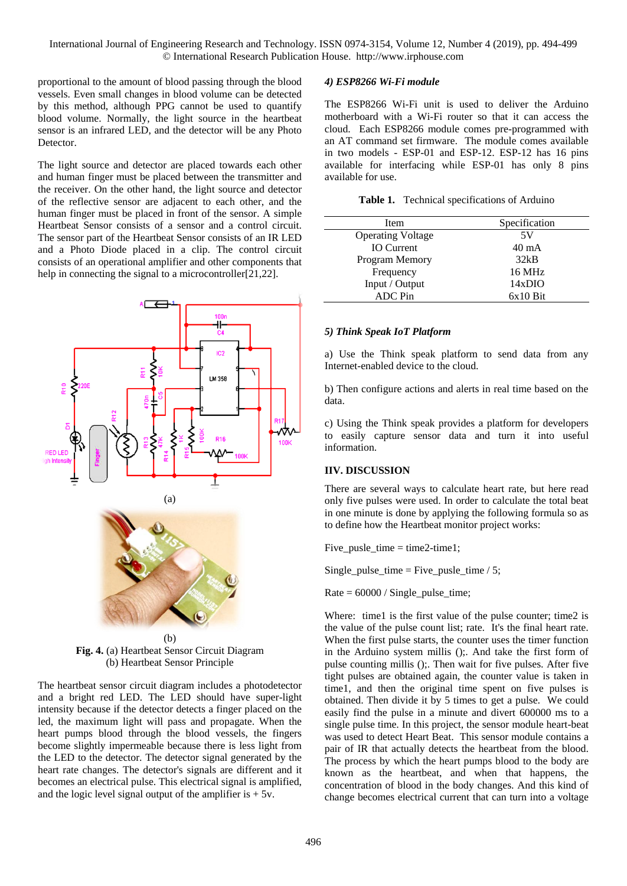proportional to the amount of blood passing through the blood vessels. Even small changes in blood volume can be detected by this method, although PPG cannot be used to quantify blood volume. Normally, the light source in the heartbeat sensor is an infrared LED, and the detector will be any Photo Detector.

The light source and detector are placed towards each other and human finger must be placed between the transmitter and the receiver. On the other hand, the light source and detector of the reflective sensor are adjacent to each other, and the human finger must be placed in front of the sensor. A simple Heartbeat Sensor consists of a sensor and a control circuit. The sensor part of the Heartbeat Sensor consists of an IR LED and a Photo Diode placed in a clip. The control circuit consists of an operational amplifier and other components that help in connecting the signal to a microcontroller[21,22].



(b) **Fig. 4.** (a) Heartbeat Sensor Circuit Diagram (b) Heartbeat Sensor Principle

The heartbeat sensor circuit diagram includes a photodetector and a bright red LED. The LED should have super-light intensity because if the detector detects a finger placed on the led, the maximum light will pass and propagate. When the heart pumps blood through the blood vessels, the fingers become slightly impermeable because there is less light from the LED to the detector. The detector signal generated by the heart rate changes. The detector's signals are different and it becomes an electrical pulse. This electrical signal is amplified, and the logic level signal output of the amplifier is  $+5v$ .

#### *4) ESP8266 Wi-Fi module*

The ESP8266 Wi-Fi unit is used to deliver the Arduino motherboard with a Wi-Fi router so that it can access the cloud. Each ESP8266 module comes pre-programmed with an AT command set firmware. The module comes available in two models - ESP-01 and ESP-12. ESP-12 has 16 pins available for interfacing while ESP-01 has only 8 pins available for use.

**Table 1.** Technical specifications of Arduino

| Item                     | Specification   |
|--------------------------|-----------------|
| <b>Operating Voltage</b> | 5V              |
| <b>IO</b> Current        | $40 \text{ mA}$ |
| Program Memory           | 32kB            |
| Frequency                | 16 MHz          |
| Input / Output           | 14xDIO          |
| <b>ADC</b> Pin           | $6x10$ Bit      |

#### *5) Think Speak IoT Platform*

a) Use the Think speak platform to send data from any Internet-enabled device to the cloud.

b) Then configure actions and alerts in real time based on the data.

c) Using the Think speak provides a platform for developers to easily capture sensor data and turn it into useful information.

# **IIV. DISCUSSION**

There are several ways to calculate heart rate, but here read only five pulses were used. In order to calculate the total beat in one minute is done by applying the following formula so as to define how the Heartbeat monitor project works:

Five pusle time  $=$  time2-time1;

Single\_pulse\_time = Five\_pusle\_time  $/ 5$ ;

Rate = 60000 / Single\_pulse\_time;

Where: time1 is the first value of the pulse counter; time2 is the value of the pulse count list; rate. It's the final heart rate. When the first pulse starts, the counter uses the timer function in the Arduino system millis ();. And take the first form of pulse counting millis ();. Then wait for five pulses. After five tight pulses are obtained again, the counter value is taken in time1, and then the original time spent on five pulses is obtained. Then divide it by 5 times to get a pulse. We could easily find the pulse in a minute and divert 600000 ms to a single pulse time. In this project, the sensor module heart-beat was used to detect Heart Beat. This sensor module contains a pair of IR that actually detects the heartbeat from the blood. The process by which the heart pumps blood to the body are known as the heartbeat, and when that happens, the concentration of blood in the body changes. And this kind of change becomes electrical current that can turn into a voltage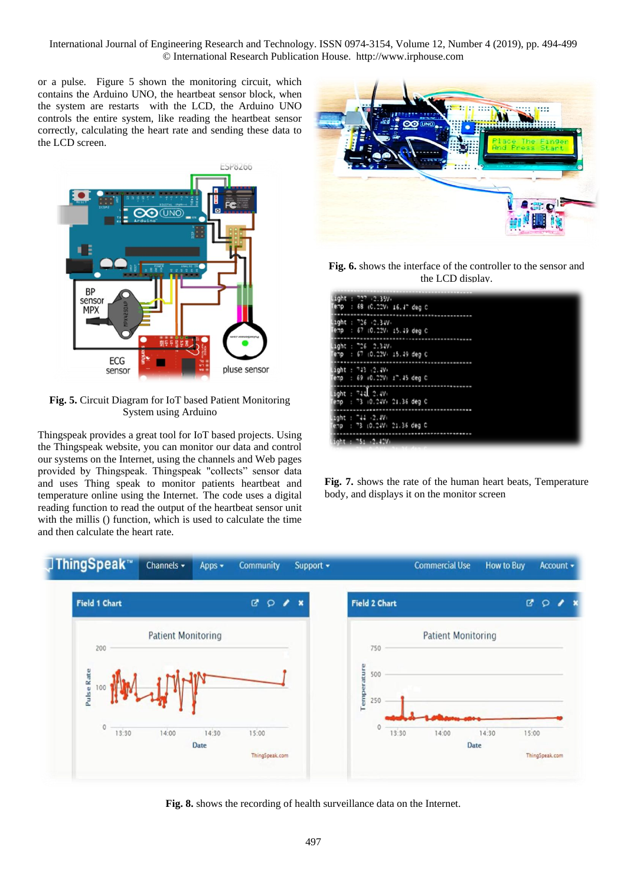or a pulse. Figure 5 shown the monitoring circuit, which contains the Arduino UNO, the heartbeat sensor block, when the system are restarts with the LCD, the Arduino UNO controls the entire system, like reading the heartbeat sensor correctly, calculating the heart rate and sending these data to the LCD screen.



**Fig. 5.** Circuit Diagram for IoT based Patient Monitoring System using Arduino

Thingspeak provides a great tool for IoT based projects. Using the Thingspeak website, you can monitor our data and control our systems on the Internet, using the channels and Web pages provided by Thingspeak. Thingspeak "collects" sensor data and uses Thing speak to monitor patients heartbeat and temperature online using the Internet. The code uses a digital reading function to read the output of the heartbeat sensor unit with the millis () function, which is used to calculate the time and then calculate the heart rate.



**Fig. 6.** shows the interface of the controller to the sensor and the LCD display.

| Light : 727 .2.35V.<br>Temp : 68 (0.00V) 16.47 deg 0 |
|------------------------------------------------------|
| light : 726 (2.3JV)<br>lemp : 67 (0.22V) 15.49 deg C |
| ∐ight : ™26 - 2.34V∘<br>emp : 67 (0.22V) 15.49 deg C |
| light : 743 (2.4V)<br>emp : 69 (0.00V) 17.45 deg C   |
| ight : $74J$ 2.4V.<br>emp : 73 (0.24V) 21.36 deg C   |
| gght : "44 -2.4V+<br>emp : 73 (0.24V) 21.36 deg C    |
| icht : "5: .2.42V:                                   |

**Fig. 7.** shows the rate of the human heart beats, Temperature body, and displays it on the monitor screen



**Fig. 8.** shows the recording of health surveillance data on the Internet.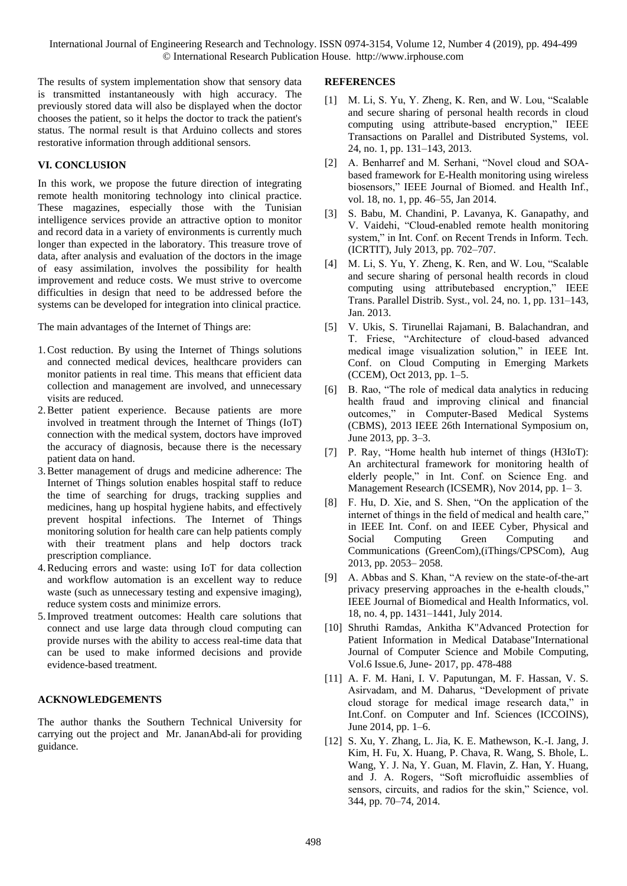The results of system implementation show that sensory data is transmitted instantaneously with high accuracy. The previously stored data will also be displayed when the doctor chooses the patient, so it helps the doctor to track the patient's status. The normal result is that Arduino collects and stores restorative information through additional sensors.

# **VI. CONCLUSION**

In this work, we propose the future direction of integrating remote health monitoring technology into clinical practice. These magazines, especially those with the Tunisian intelligence services provide an attractive option to monitor and record data in a variety of environments is currently much longer than expected in the laboratory. This treasure trove of data, after analysis and evaluation of the doctors in the image of easy assimilation, involves the possibility for health improvement and reduce costs. We must strive to overcome difficulties in design that need to be addressed before the systems can be developed for integration into clinical practice.

The main advantages of the Internet of Things are:

- 1.Cost reduction. By using the Internet of Things solutions and connected medical devices, healthcare providers can monitor patients in real time. This means that efficient data collection and management are involved, and unnecessary visits are reduced.
- 2.Better patient experience. Because patients are more involved in treatment through the Internet of Things (IoT) connection with the medical system, doctors have improved the accuracy of diagnosis, because there is the necessary patient data on hand.
- 3.Better management of drugs and medicine adherence: The Internet of Things solution enables hospital staff to reduce the time of searching for drugs, tracking supplies and medicines, hang up hospital hygiene habits, and effectively prevent hospital infections. The Internet of Things monitoring solution for health care can help patients comply with their treatment plans and help doctors track prescription compliance.
- 4.Reducing errors and waste: using IoT for data collection and workflow automation is an excellent way to reduce waste (such as unnecessary testing and expensive imaging), reduce system costs and minimize errors.
- 5.Improved treatment outcomes: Health care solutions that connect and use large data through cloud computing can provide nurses with the ability to access real-time data that can be used to make informed decisions and provide evidence-based treatment.

## **ACKNOWLEDGEMENTS**

The author thanks the Southern Technical University for carrying out the project and Mr. JananAbd-ali for providing guidance.

#### **REFERENCES**

- [1] M. Li, S. Yu, Y. Zheng, K. Ren, and W. Lou, "Scalable and secure sharing of personal health records in cloud computing using attribute-based encryption," IEEE Transactions on Parallel and Distributed Systems, vol. 24, no. 1, pp. 131–143, 2013.
- [2] A. Benharref and M. Serhani, "Novel cloud and SOAbased framework for E-Health monitoring using wireless biosensors," IEEE Journal of Biomed. and Health Inf., vol. 18, no. 1, pp. 46–55, Jan 2014.
- [3] S. Babu, M. Chandini, P. Lavanya, K. Ganapathy, and V. Vaidehi, "Cloud-enabled remote health monitoring system," in Int. Conf. on Recent Trends in Inform. Tech. (ICRTIT), July 2013, pp. 702–707.
- [4] M. Li, S. Yu, Y. Zheng, K. Ren, and W. Lou, "Scalable and secure sharing of personal health records in cloud computing using attributebased encryption," IEEE Trans. Parallel Distrib. Syst., vol. 24, no. 1, pp. 131–143, Jan. 2013.
- [5] V. Ukis, S. Tirunellai Rajamani, B. Balachandran, and T. Friese, "Architecture of cloud-based advanced medical image visualization solution," in IEEE Int. Conf. on Cloud Computing in Emerging Markets (CCEM), Oct 2013, pp. 1–5.
- [6] B. Rao, "The role of medical data analytics in reducing health fraud and improving clinical and financial outcomes," in Computer-Based Medical Systems (CBMS), 2013 IEEE 26th International Symposium on, June 2013, pp. 3–3.
- [7] P. Ray, "Home health hub internet of things (H3IoT): An architectural framework for monitoring health of elderly people," in Int. Conf. on Science Eng. and Management Research (ICSEMR), Nov 2014, pp. 1– 3.
- [8] F. Hu, D. Xie, and S. Shen, "On the application of the internet of things in the field of medical and health care," in IEEE Int. Conf. on and IEEE Cyber, Physical and Social Computing Green Computing and Communications (GreenCom),(iThings/CPSCom), Aug 2013, pp. 2053– 2058.
- [9] A. Abbas and S. Khan, "A review on the state-of-the-art privacy preserving approaches in the e-health clouds," IEEE Journal of Biomedical and Health Informatics, vol. 18, no. 4, pp. 1431–1441, July 2014.
- [10] Shruthi Ramdas, Ankitha K"Advanced Protection for Patient Information in Medical Database"International Journal of Computer Science and Mobile Computing, Vol.6 Issue.6, June- 2017, pp. 478-488
- [11] A. F. M. Hani, I. V. Paputungan, M. F. Hassan, V. S. Asirvadam, and M. Daharus, "Development of private cloud storage for medical image research data," in Int.Conf. on Computer and Inf. Sciences (ICCOINS), June 2014, pp. 1–6.
- [12] S. Xu, Y. Zhang, L. Jia, K. E. Mathewson, K.-I. Jang, J. Kim, H. Fu, X. Huang, P. Chava, R. Wang, S. Bhole, L. Wang, Y. J. Na, Y. Guan, M. Flavin, Z. Han, Y. Huang, and J. A. Rogers, "Soft microfluidic assemblies of sensors, circuits, and radios for the skin," Science, vol. 344, pp. 70–74, 2014.